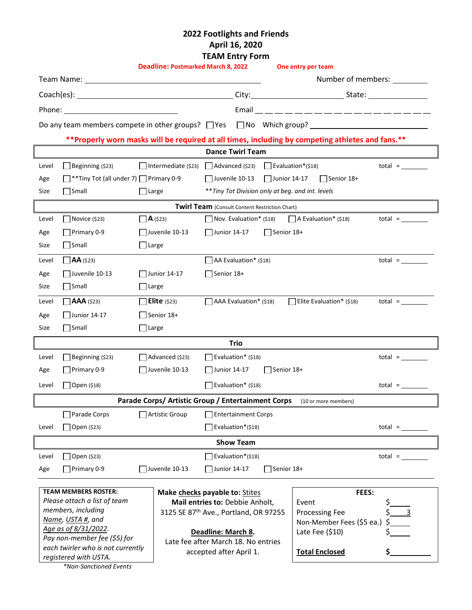# **2022 Footlights and Friends April 16, 2020 TEAM Entry Form**

|                                                                                                                                                                                                                                |                                                             |                                                           | <b>Deadline: Postmarked March 8, 2022</b>                         |                                                                            |                                  | One entry per team             |                              |  |
|--------------------------------------------------------------------------------------------------------------------------------------------------------------------------------------------------------------------------------|-------------------------------------------------------------|-----------------------------------------------------------|-------------------------------------------------------------------|----------------------------------------------------------------------------|----------------------------------|--------------------------------|------------------------------|--|
| Team Name: The Contract of the Contract of the Contract of the Contract of the Contract of the Contract of the Contract of the Contract of the Contract of the Contract of the Contract of the Contract of the Contract of the |                                                             |                                                           |                                                                   |                                                                            | Number of members:               |                                |                              |  |
|                                                                                                                                                                                                                                |                                                             |                                                           |                                                                   |                                                                            |                                  |                                |                              |  |
|                                                                                                                                                                                                                                |                                                             |                                                           |                                                                   |                                                                            |                                  |                                |                              |  |
|                                                                                                                                                                                                                                |                                                             |                                                           |                                                                   |                                                                            |                                  |                                |                              |  |
| **Properly worn masks will be required at all times, including by competing athletes and fans.**                                                                                                                               |                                                             |                                                           |                                                                   |                                                                            |                                  |                                |                              |  |
| <b>Dance Twirl Team</b>                                                                                                                                                                                                        |                                                             |                                                           |                                                                   |                                                                            |                                  |                                |                              |  |
| Level                                                                                                                                                                                                                          | $\Box$ Beginning (\$23)                                     |                                                           |                                                                   | $\Box$ Intermediate (\$23) $\Box$ Advanced (\$23) $\Box$ Evaluation*(\$18) |                                  |                                | $total =$                    |  |
| Age                                                                                                                                                                                                                            | $\Box$ **Tiny Tot (all under 7) $\Box$ Primary 0-9          |                                                           |                                                                   | $\blacksquare$ Juvenile 10-13                                              | $\blacksquare$ Junior 14-17      | Senior 18+                     |                              |  |
| Size                                                                                                                                                                                                                           | $\Box$ Small                                                | $\Box$ Large                                              |                                                                   | ** Tiny Tot Division only at beg. and int. levels                          |                                  |                                |                              |  |
| <b>Twirl Team</b> (Consult Content Restriction Chart)                                                                                                                                                                          |                                                             |                                                           |                                                                   |                                                                            |                                  |                                |                              |  |
| Level                                                                                                                                                                                                                          | $\blacksquare$ Novice (\$23)                                | $\Box$ <b>A</b> (\$23)                                    |                                                                   | Nov. Evaluation* (\$18)                                                    |                                  | $\bigcap$ A Evaluation* (\$18) | $total =$                    |  |
| Age                                                                                                                                                                                                                            | $\Box$ Primary 0-9                                          | $\Box$ Juvenile 10-13                                     |                                                                   | Junior 14-17                                                               | $\Box$ Senior 18+                |                                |                              |  |
| Size                                                                                                                                                                                                                           | Small                                                       | $\Box$ Large                                              |                                                                   |                                                                            |                                  |                                |                              |  |
| Level                                                                                                                                                                                                                          | $\Box$ AA (\$23)                                            |                                                           |                                                                   | AA Evaluation* (\$18)                                                      |                                  |                                | $total =$                    |  |
| Age                                                                                                                                                                                                                            | $\Box$ Juvenile 10-13<br>Junior $14-17$                     |                                                           | Senior 18+                                                        |                                                                            |                                  |                                |                              |  |
| Size                                                                                                                                                                                                                           | Small                                                       | $\Box$ Large                                              |                                                                   |                                                                            |                                  |                                |                              |  |
| Level                                                                                                                                                                                                                          | $\Box$ AAA (\$23)<br>$\Box$ Elite (\$23)                    |                                                           | $\Box$ AAA Evaluation* (\$18)                                     |                                                                            | Elite Evaluation* $(518)$        | $total =$                      |                              |  |
| Age                                                                                                                                                                                                                            | $\Box$ Junior 14-17<br>$\Box$ Senior 18+                    |                                                           |                                                                   |                                                                            |                                  |                                |                              |  |
| Size                                                                                                                                                                                                                           | $\Box$ Small                                                | Large                                                     |                                                                   |                                                                            |                                  |                                |                              |  |
| <b>Trio</b>                                                                                                                                                                                                                    |                                                             |                                                           |                                                                   |                                                                            |                                  |                                |                              |  |
| Level                                                                                                                                                                                                                          | $\Box$ Beginning (\$23)                                     | Advanced (\$23)                                           |                                                                   | Evaluation* (\$18)                                                         |                                  |                                | $total = \_\_\_\_\_\_\_\_\_$ |  |
| Age                                                                                                                                                                                                                            | Primary 0-9                                                 |                                                           | $\Box$ Juvenile 10-13                                             | Junior 14-17<br>Senior 18+                                                 |                                  |                                |                              |  |
| Level                                                                                                                                                                                                                          | $\Box$ Open (\$18)                                          |                                                           |                                                                   | Evaluation* (\$18)                                                         |                                  |                                | $total =$                    |  |
|                                                                                                                                                                                                                                |                                                             |                                                           |                                                                   | Parade Corps/ Artistic Group / Entertainment Corps                         |                                  | (10 or more members)           |                              |  |
| Parade Corps<br>Artistic Group<br><b>Entertainment Corps</b>                                                                                                                                                                   |                                                             |                                                           |                                                                   |                                                                            |                                  |                                |                              |  |
| Level                                                                                                                                                                                                                          | Open (\$23)                                                 |                                                           |                                                                   | Evaluation*(\$18)                                                          |                                  |                                | $total =$                    |  |
| <b>Show Team</b>                                                                                                                                                                                                               |                                                             |                                                           |                                                                   |                                                                            |                                  |                                |                              |  |
| Level                                                                                                                                                                                                                          | $\Box$ Open (\$23)                                          |                                                           |                                                                   | Evaluation*(\$18)                                                          |                                  |                                | $total =$                    |  |
| Age                                                                                                                                                                                                                            | $\Box$ Primary 0-9                                          |                                                           | $\Box$ Juvenile 10-13                                             | Junior 14-17                                                               | $\sqrt{\frac{2}{15}}$ Senior 18+ |                                |                              |  |
|                                                                                                                                                                                                                                |                                                             |                                                           |                                                                   |                                                                            |                                  |                                |                              |  |
|                                                                                                                                                                                                                                | <b>TEAM MEMBERS ROSTER:</b><br>Please attach a list of team |                                                           | Make checks payable to: Stites<br>Mail entries to: Debbie Anholt, |                                                                            | FEES:<br>Event                   |                                |                              |  |
|                                                                                                                                                                                                                                | members, including                                          |                                                           |                                                                   | 3125 SE 87th Ave., Portland, OR 97255                                      |                                  | <b>Processing Fee</b>          | $\overline{\phantom{a}}$     |  |
|                                                                                                                                                                                                                                | Name, USTA #, and                                           |                                                           |                                                                   |                                                                            |                                  | Non-Member Fees (\$5 ea.)      |                              |  |
| Age as of 8/31/2022.<br>Pay non-member fee (\$5) for                                                                                                                                                                           |                                                             | Deadline: March 8.<br>Late fee after March 18. No entries |                                                                   |                                                                            | Late Fee (\$10)                  |                                |                              |  |
| each twirler who is not currently                                                                                                                                                                                              |                                                             |                                                           | accepted after April 1.                                           |                                                                            |                                  | <b>Total Enclosed</b>          |                              |  |
| registered with USTA.                                                                                                                                                                                                          |                                                             |                                                           |                                                                   |                                                                            |                                  |                                |                              |  |

*\*Non-Sanctioned Events*